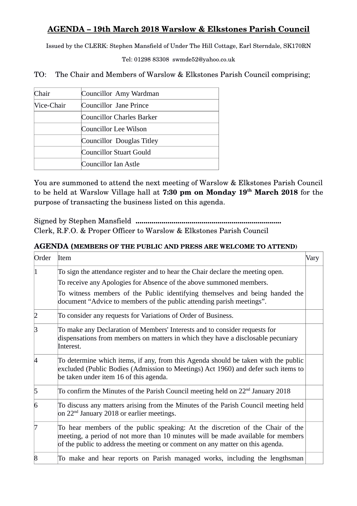## **AGENDA – 19th March 2018 Warslow & Elkstones Parish Council**

Issued by the CLERK: Stephen Mansfield of Under The Hill Cottage, Earl Sterndale, SK170RN

Tel: 01298 83308 swmde52@yahoo.co.uk

TO: The Chair and Members of Warslow & Elkstones Parish Council comprising;

| Chair                | Councillor Amy Wardman    |  |
|----------------------|---------------------------|--|
| Vice-Chair           | Councillor Jane Prince    |  |
|                      | Councillor Charles Barker |  |
|                      | Councillor Lee Wilson     |  |
|                      | Councillor Douglas Titley |  |
|                      | Councillor Stuart Gould   |  |
| Councillor Ian Astle |                           |  |

You are summoned to attend the next meeting of Warslow & Elkstones Parish Council to be held at Warslow Village hall at **7:30 pm on Monday 19th March 2018** for the purpose of transacting the business listed on this agenda.

Signed by Stephen Mansfield **.........................................................................** Clerk, R.F.O. & Proper Officer to Warslow & Elkstones Parish Council

## **AGENDA (MEMBERS OF THE PUBLIC AND PRESS ARE WELCOME TO ATTEND)**

| Order | Item                                                                                                                                                                                                                                               | Vary |
|-------|----------------------------------------------------------------------------------------------------------------------------------------------------------------------------------------------------------------------------------------------------|------|
|       | To sign the attendance register and to hear the Chair declare the meeting open.<br>To receive any Apologies for Absence of the above summoned members.                                                                                             |      |
|       | To witness members of the Public identifying themselves and being handed the<br>document "Advice to members of the public attending parish meetings".                                                                                              |      |
|       | To consider any requests for Variations of Order of Business.                                                                                                                                                                                      |      |
|       | To make any Declaration of Members' Interests and to consider requests for<br>dispensations from members on matters in which they have a disclosable pecuniary<br>Interest.                                                                        |      |
|       | To determine which items, if any, from this Agenda should be taken with the public<br>excluded (Public Bodies (Admission to Meetings) Act 1960) and defer such items to<br>be taken under item 16 of this agenda.                                  |      |
| 5     | To confirm the Minutes of the Parish Council meeting held on $22nd$ January 2018                                                                                                                                                                   |      |
| 6     | To discuss any matters arising from the Minutes of the Parish Council meeting held<br>on $22nd$ January 2018 or earlier meetings.                                                                                                                  |      |
|       | To hear members of the public speaking: At the discretion of the Chair of the<br>meeting, a period of not more than 10 minutes will be made available for members<br>of the public to address the meeting or comment on any matter on this agenda. |      |
| 8     | To make and hear reports on Parish managed works, including the lengthsman                                                                                                                                                                         |      |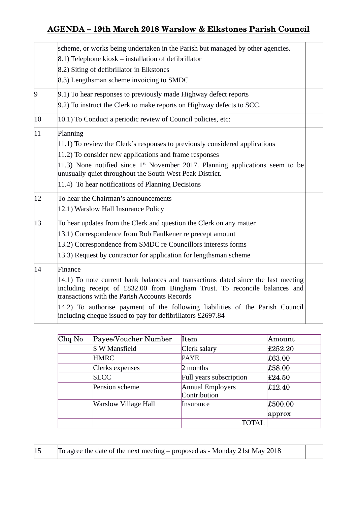# **AGENDA – 19th March 2018 Warslow & Elkstones Parish Council**

|                | scheme, or works being undertaken in the Parish but managed by other agencies.                                                                                                                                   |  |  |  |
|----------------|------------------------------------------------------------------------------------------------------------------------------------------------------------------------------------------------------------------|--|--|--|
|                | 8.1) Telephone kiosk – installation of defibrillator                                                                                                                                                             |  |  |  |
|                | 8.2) Siting of defibrillator in Elkstones                                                                                                                                                                        |  |  |  |
|                | 8.3) Lengthsman scheme invoicing to SMDC                                                                                                                                                                         |  |  |  |
| $\overline{9}$ | 9.1) To hear responses to previously made Highway defect reports                                                                                                                                                 |  |  |  |
|                | 9.2) To instruct the Clerk to make reports on Highway defects to SCC.                                                                                                                                            |  |  |  |
| 10             | $ 10.1\rangle$ To Conduct a periodic review of Council policies, etc:                                                                                                                                            |  |  |  |
| $ 11\rangle$   | Planning                                                                                                                                                                                                         |  |  |  |
|                | $ 11.1\rangle$ To review the Clerk's responses to previously considered applications                                                                                                                             |  |  |  |
|                | $ 11.2\rangle$ To consider new applications and frame responses                                                                                                                                                  |  |  |  |
|                | 11.3) None notified since $1st$ November 2017. Planning applications seem to be<br>unusually quiet throughout the South West Peak District.                                                                      |  |  |  |
|                | $ 11.4\rangle$ To hear notifications of Planning Decisions                                                                                                                                                       |  |  |  |
| 12             | To hear the Chairman's announcements                                                                                                                                                                             |  |  |  |
|                | 12.1) Warslow Hall Insurance Policy                                                                                                                                                                              |  |  |  |
| 13             | To hear updates from the Clerk and question the Clerk on any matter.                                                                                                                                             |  |  |  |
|                | 13.1) Correspondence from Rob Faulkener re precept amount                                                                                                                                                        |  |  |  |
|                | 13.2) Correspondence from SMDC re Councillors interests forms                                                                                                                                                    |  |  |  |
|                | 13.3) Request by contractor for application for lengthsman scheme                                                                                                                                                |  |  |  |
| 14             | Finance                                                                                                                                                                                                          |  |  |  |
|                | 14.1) To note current bank balances and transactions dated since the last meeting<br>including receipt of £832.00 from Bingham Trust. To reconcile balances and<br>transactions with the Parish Accounts Records |  |  |  |
|                | $ 14.2\rangle$ To authorise payment of the following liabilities of the Parish Council<br>including cheque issued to pay for defibrillators £2697.84                                                             |  |  |  |

| Chq No | Payee/Voucher Number | Item                             | Amount            |
|--------|----------------------|----------------------------------|-------------------|
|        | <b>S W Mansfield</b> | Clerk salary                     | £252.20           |
|        | <b>HMRC</b>          | <b>PAYE</b>                      | £63.00            |
|        | Clerks expenses      | 2 months                         | £58.00            |
|        | <b>SLCC</b>          | Full years subscription          | £24.50            |
|        | Pension scheme       | Annual Employers<br>Contribution | £12.40            |
|        | Warslow Village Hall | <b>Insurance</b>                 | £500.00<br>approx |
|        |                      | TOTAL                            |                   |

 $\vert$ 15 To agree the date of the next meeting – proposed as - Monday 21st May 2018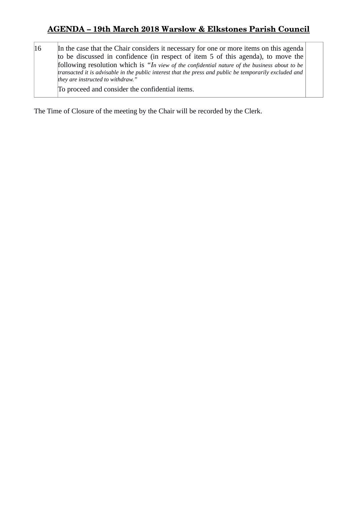## **AGENDA – 19th March 2018 Warslow & Elkstones Parish Council**

16 In the case that the Chair considers it necessary for one or more items on this agenda to be discussed in confidence (in respect of item 5 of this agenda), to move the following resolution which is *"In view of the confidential nature of the business about to be transacted it is advisable in the public interest that the press and public be temporarily excluded and they are instructed to withdraw."*

To proceed and consider the confidential items.

The Time of Closure of the meeting by the Chair will be recorded by the Clerk.